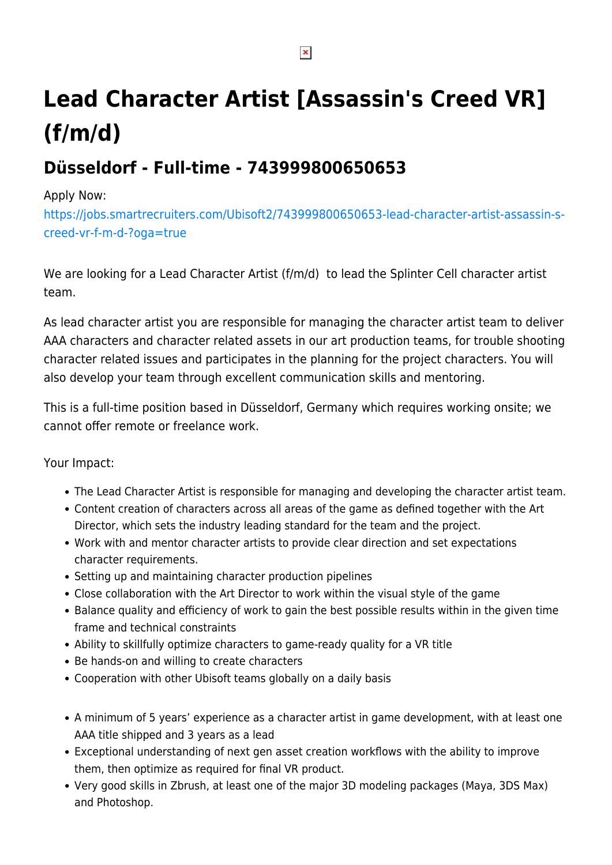# **Lead Character Artist [Assassin's Creed VR] (f/m/d)**

# **Düsseldorf - Full-time - 743999800650653**

#### Apply Now:

[https://jobs.smartrecruiters.com/Ubisoft2/743999800650653-lead-character-artist-assassin-s](https://jobs.smartrecruiters.com/Ubisoft2/743999800650653-lead-character-artist-assassin-s-creed-vr-f-m-d-?oga=true)[creed-vr-f-m-d-?oga=true](https://jobs.smartrecruiters.com/Ubisoft2/743999800650653-lead-character-artist-assassin-s-creed-vr-f-m-d-?oga=true)

We are looking for a Lead Character Artist (f/m/d) to lead the Splinter Cell character artist team.

As lead character artist you are responsible for managing the character artist team to deliver AAA characters and character related assets in our art production teams, for trouble shooting character related issues and participates in the planning for the project characters. You will also develop your team through excellent communication skills and mentoring.

This is a full-time position based in Düsseldorf, Germany which requires working onsite; we cannot offer remote or freelance work.

Your Impact:

- The Lead Character Artist is responsible for managing and developing the character artist team.
- Content creation of characters across all areas of the game as defined together with the Art Director, which sets the industry leading standard for the team and the project.
- Work with and mentor character artists to provide clear direction and set expectations character requirements.
- Setting up and maintaining character production pipelines
- Close collaboration with the Art Director to work within the visual style of the game
- Balance quality and efficiency of work to gain the best possible results within in the given time frame and technical constraints
- Ability to skillfully optimize characters to game-ready quality for a VR title
- Be hands-on and willing to create characters
- Cooperation with other Ubisoft teams globally on a daily basis
- A minimum of 5 years' experience as a character artist in game development, with at least one AAA title shipped and 3 years as a lead
- Exceptional understanding of next gen asset creation workflows with the ability to improve them, then optimize as required for final VR product.
- Very good skills in Zbrush, at least one of the major 3D modeling packages (Maya, 3DS Max) and Photoshop.

 $\pmb{\times}$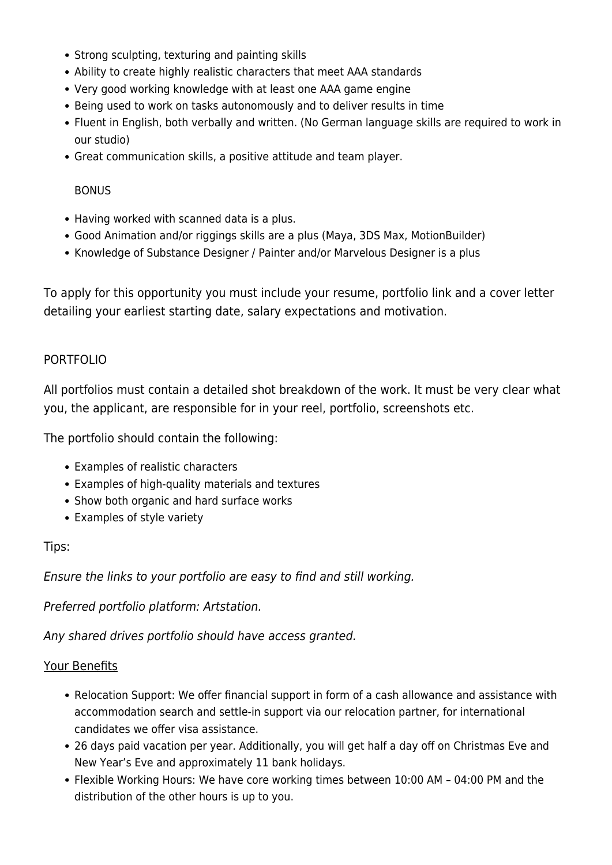- Strong sculpting, texturing and painting skills
- Ability to create highly realistic characters that meet AAA standards
- Very good working knowledge with at least one AAA game engine
- Being used to work on tasks autonomously and to deliver results in time
- Fluent in English, both verbally and written. (No German language skills are required to work in our studio)
- Great communication skills, a positive attitude and team player.

#### BONUS

- Having worked with scanned data is a plus.
- Good Animation and/or riggings skills are a plus (Maya, 3DS Max, MotionBuilder)
- Knowledge of Substance Designer / Painter and/or Marvelous Designer is a plus

To apply for this opportunity you must include your resume, portfolio link and a cover letter detailing your earliest starting date, salary expectations and motivation.

#### PORTFOLIO

All portfolios must contain a detailed shot breakdown of the work. It must be very clear what you, the applicant, are responsible for in your reel, portfolio, screenshots etc.

The portfolio should contain the following:

- Examples of realistic characters
- Examples of high-quality materials and textures
- Show both organic and hard surface works
- Examples of style variety

#### Tips:

Ensure the links to your portfolio are easy to find and still working.

Preferred portfolio platform: Artstation.

Any shared drives portfolio should have access granted.

#### Your Benefits

- Relocation Support: We offer financial support in form of a cash allowance and assistance with accommodation search and settle-in support via our relocation partner, for international candidates we offer visa assistance.
- 26 days paid vacation per year. Additionally, you will get half a day off on Christmas Eve and New Year's Eve and approximately 11 bank holidays.
- Flexible Working Hours: We have core working times between 10:00 AM 04:00 PM and the distribution of the other hours is up to you.